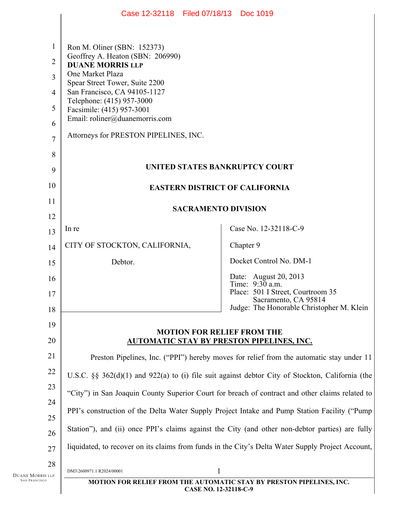|                                          | Case 12-32118 Filed 07/18/13 Doc 1019                                                                  |                                                           |  |
|------------------------------------------|--------------------------------------------------------------------------------------------------------|-----------------------------------------------------------|--|
|                                          |                                                                                                        |                                                           |  |
| $\mathbf{1}$                             | Ron M. Oliner (SBN: 152373)                                                                            |                                                           |  |
| $\overline{2}$                           | Geoffrey A. Heaton (SBN: 206990)<br><b>DUANE MORRIS LLP</b>                                            |                                                           |  |
| $\overline{3}$                           | One Market Plaza                                                                                       |                                                           |  |
| $\overline{4}$                           | Spear Street Tower, Suite 2200<br>San Francisco, CA 94105-1127                                         |                                                           |  |
| 5                                        | Telephone: (415) 957-3000<br>Facsimile: (415) 957-3001                                                 |                                                           |  |
| 6                                        | Email: roliner@duanemorris.com                                                                         |                                                           |  |
| $\overline{7}$                           | Attorneys for PRESTON PIPELINES, INC.                                                                  |                                                           |  |
| 8                                        |                                                                                                        |                                                           |  |
| 9                                        | UNITED STATES BANKRUPTCY COURT                                                                         |                                                           |  |
| 10                                       | <b>EASTERN DISTRICT OF CALIFORNIA</b>                                                                  |                                                           |  |
| 11                                       | <b>SACRAMENTO DIVISION</b>                                                                             |                                                           |  |
| 12                                       |                                                                                                        |                                                           |  |
| 13                                       | In re                                                                                                  | Case No. 12-32118-C-9                                     |  |
| 14                                       | CITY OF STOCKTON, CALIFORNIA,                                                                          | Chapter 9                                                 |  |
| 15                                       | Debtor.                                                                                                | Docket Control No. DM-1                                   |  |
| 16                                       |                                                                                                        | Date: August 20, 2013<br>Time: 9:30 a.m.                  |  |
| 17                                       |                                                                                                        | Place: 501 I Street, Courtroom 35<br>Sacramento, CA 95814 |  |
| 18                                       |                                                                                                        | Judge: The Honorable Christopher M. Klein                 |  |
| 19                                       | <b>MOTION FOR RELIEF FROM THE</b>                                                                      |                                                           |  |
| 20                                       | <b>AUTOMATIC STAY BY PRESTON PIPELINES, INC.</b>                                                       |                                                           |  |
| 21                                       | Preston Pipelines, Inc. ("PPI") hereby moves for relief from the automatic stay under 11               |                                                           |  |
| 22                                       | U.S.C. $\S\S$ 362(d)(1) and 922(a) to (i) file suit against debtor City of Stockton, California (the   |                                                           |  |
| 23                                       | "City") in San Joaquin County Superior Court for breach of contract and other claims related to        |                                                           |  |
| 24<br>25                                 | PPI's construction of the Delta Water Supply Project Intake and Pump Station Facility ("Pump")         |                                                           |  |
| 26                                       | Station"), and (ii) once PPI's claims against the City (and other non-debtor parties) are fully        |                                                           |  |
| 27                                       | liquidated, to recover on its claims from funds in the City's Delta Water Supply Project Account,      |                                                           |  |
| 28                                       |                                                                                                        |                                                           |  |
| Duane Morris llp<br><b>SAN FRANCISCO</b> | 1<br>DM3\2600971.1 R2024/00001<br>MOTION FOR RELIEF FROM THE AUTOMATIC STAY BY PRESTON PIPELINES, INC. |                                                           |  |
|                                          | CASE NO. 12-32118-C-9                                                                                  |                                                           |  |